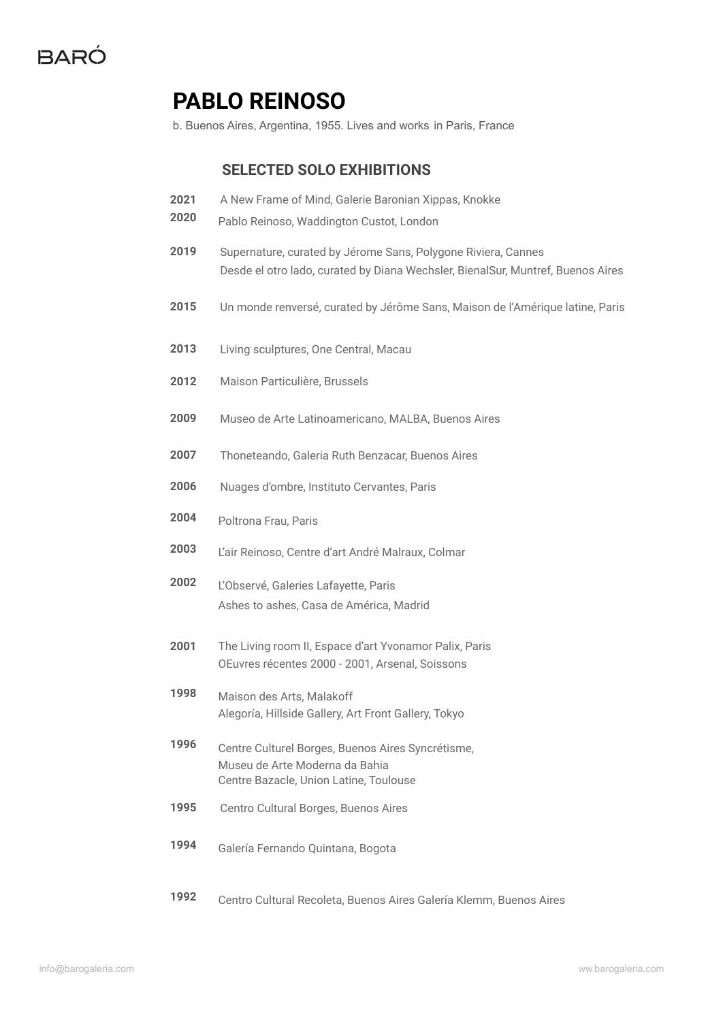

# **PABLO REINOSO**

b. Buenos Aires, Argentina, 1955. Lives and works in Paris, France

#### **SELECTED SOLO EXHIBITIONS**

- A New Frame of Mind, Galerie Baronian Xippas, Knokke
- Pablo Reinoso, Waddington Custot, London
- Supernature, curated by Jérome Sans, Polygone Riviera, Cannes Desde el otro lado, curated by Diana Wechsler, BienalSur, Muntref, Buenos Aires
- Un monde renversé, curated by Jérôme Sans, Maison de l'Amérique latine, Paris
- Living sculptures, One Central, Macau
- Maison Particulière, Brussels
- Museo de Arte Latinoamericano, MALBA, Buenos Aires
- Thoneteando, Galeria Ruth Benzacar, Buenos Aires
- Nuages d'ombre, Instituto Cervantes, Paris
- Poltrona Frau, Paris
- L'air Reinoso, Centre d'art André Malraux, Colmar
- L'Observé, Galeries Lafayette, Paris Ashes to ashes, Casa de América, Madrid
- The Living room II, Espace d'art Yvonamor Palix, Paris OEuvres récentes 2000 - 2001, Arsenal, Soissons
- Maison des Arts, Malakoff Alegoría, Hillside Gallery, Art Front Gallery, Tokyo
- Centre Culturel Borges, Buenos Aires Syncrétisme, Museu de Arte Moderna da Bahia Centre Bazacle, Union Latine, Toulouse
- Centro Cultural Borges, Buenos Aires
- Galería Fernando Quintana, Bogota
- Centro Cultural Recoleta, Buenos Aires Galería Klemm, Buenos Aires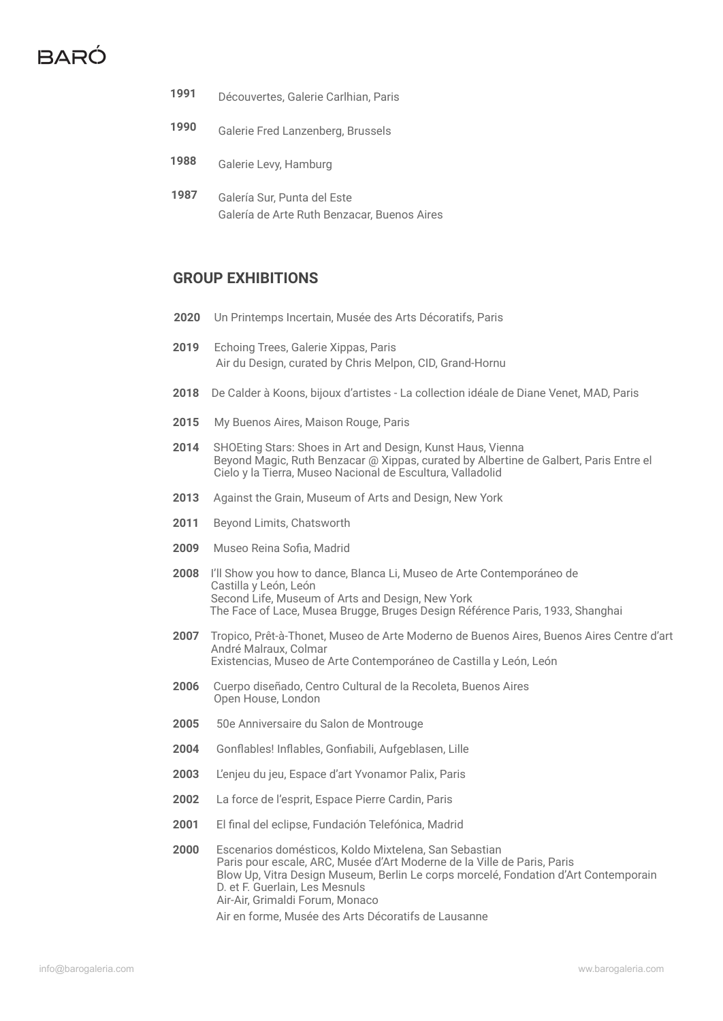# $BAR$

- **1991** Découvertes, Galerie Carlhian, Paris
- **1990** Galerie Fred Lanzenberg, Brussels
- **1988** Galerie Levy, Hamburg
- **1987** Galería Sur, Punta del Este Galería de Arte Ruth Benzacar, Buenos Aires

### **GROUP EXHIBITIONS**

- **2020** Un Printemps Incertain, Musée des Arts Décoratifs, Paris
- **2019** Echoing Trees, Galerie Xippas, Paris Air du Design, curated by Chris Melpon, CID, Grand-Hornu
- **2018** De Calder à Koons, bijoux d'artistes La collection idéale de Diane Venet, MAD, Paris
- **2015** My Buenos Aires, Maison Rouge, Paris
- **2014** SHOEting Stars: Shoes in Art and Design, Kunst Haus, Vienna Beyond Magic, Ruth Benzacar @ Xippas, curated by Albertine de Galbert, Paris Entre el Cielo y la Tierra, Museo Nacional de Escultura, Valladolid
- **2013** Against the Grain, Museum of Arts and Design, New York
- **2011** Beyond Limits, Chatsworth
- **2009** Museo Reina Sofia, Madrid
- **2008** I'll Show you how to dance, Blanca Li, Museo de Arte Contemporáneo de Castilla y León, León Second Life, Museum of Arts and Design, New York The Face of Lace, Musea Brugge, Bruges Design Référence Paris, 1933, Shanghai
- **2007** Tropico, Prêt-à-Thonet, Museo de Arte Moderno de Buenos Aires, Buenos Aires Centre d'art André Malraux, Colmar Existencias, Museo de Arte Contemporáneo de Castilla y León, León
- **2006** Cuerpo diseñado, Centro Cultural de la Recoleta, Buenos Aires Open House, London
- **2005** 50e Anniversaire du Salon de Montrouge
- **2004** Gonflables! Inflables, Gonfiabili, Aufgeblasen, Lille
- **2003** L'enjeu du jeu, Espace d'art Yvonamor Palix, Paris
- **2002** La force de l'esprit, Espace Pierre Cardin, Paris
- **2001** El final del eclipse, Fundación Telefónica, Madrid
- **2000** Escenarios domésticos, Koldo Mixtelena, San Sebastian Paris pour escale, ARC, Musée d'Art Moderne de la Ville de Paris, Paris Blow Up, Vitra Design Museum, Berlin Le corps morcelé, Fondation d'Art Contemporain D. et F. Guerlain, Les Mesnuls Air-Air, Grimaldi Forum, Monaco

Air en forme, Musée des Arts Décoratifs de Lausanne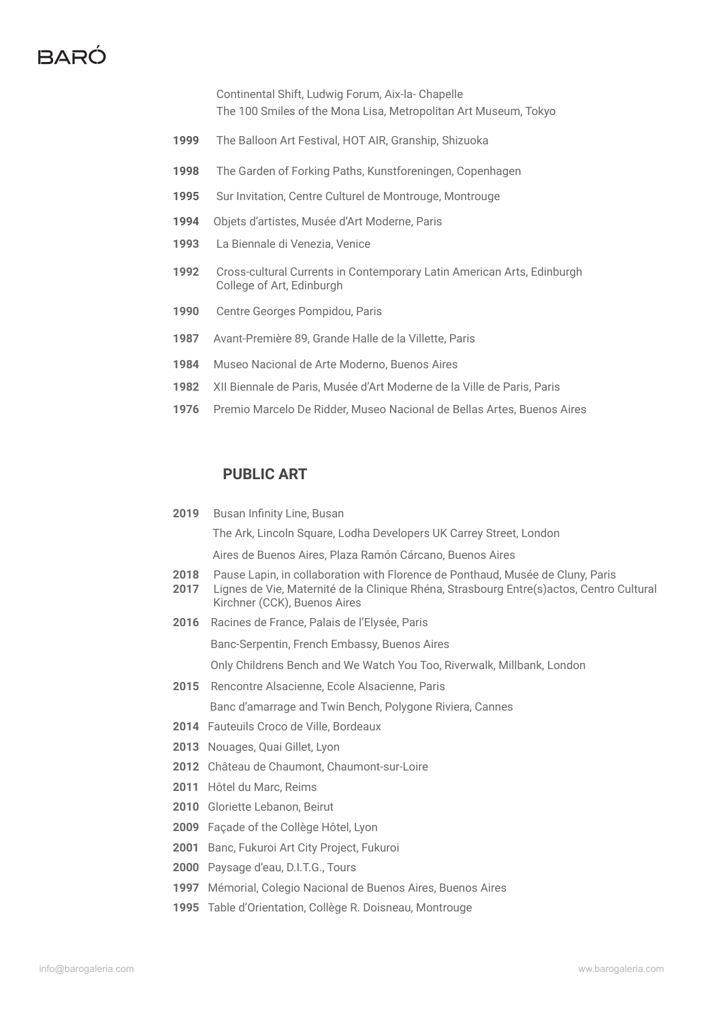## $BABC$

Continental Shift, Ludwig Forum, Aix-la- Chapelle The 100 Smiles of the Mona Lisa, Metropolitan Art Museum, Tokyo

- The Balloon Art Festival, HOT AIR, Granship, Shizuoka
- The Garden of Forking Paths, Kunstforeningen, Copenhagen
- Sur Invitation, Centre Culturel de Montrouge, Montrouge
- Objets d'artistes, Musée d'Art Moderne, Paris
- La Biennale di Venezia, Venice
- Cross-cultural Currents in Contemporary Latin American Arts, Edinburgh College of Art, Edinburgh
- Centre Georges Pompidou, Paris
- Avant-Première 89, Grande Halle de la Villette, Paris
- Museo Nacional de Arte Moderno, Buenos Aires
- XII Biennale de Paris, Musée d'Art Moderne de la Ville de Paris, Paris
- Premio Marcelo De Ridder, Museo Nacional de Bellas Artes, Buenos Aires

#### **PUBLIC ART**

Busan Infinity Line, Busan

The Ark, Lincoln Square, Lodha Developers UK Carrey Street, London

Aires de Buenos Aires, Plaza Ramón Cárcano, Buenos Aires

- Pause Lapin, in collaboration with Florence de Ponthaud, Musée de Cluny, Paris
- Lignes de Vie, Maternité de la Clinique Rhéna, Strasbourg Entre(s)actos, Centro Cultural Kirchner (CCK), Buenos Aires
- Racines de France, Palais de l'Elysée, Paris

Banc-Serpentin, French Embassy, Buenos Aires

Only Childrens Bench and We Watch You Too, Riverwalk, Millbank, London

Rencontre Alsacienne, Ecole Alsacienne, Paris

Banc d'amarrage and Twin Bench, Polygone Riviera, Cannes

- Fauteuils Croco de Ville, Bordeaux
- Nouages, Quai Gillet, Lyon
- Château de Chaumont, Chaumont-sur-Loire
- Hôtel du Marc, Reims
- Gloriette Lebanon, Beirut
- Façade of the Collège Hôtel, Lyon
- Banc, Fukuroi Art City Project, Fukuroi
- Paysage d'eau, D.I.T.G., Tours
- Mémorial, Colegio Nacional de Buenos Aires, Buenos Aires
- Table d'Orientation, Collège R. Doisneau, Montrouge